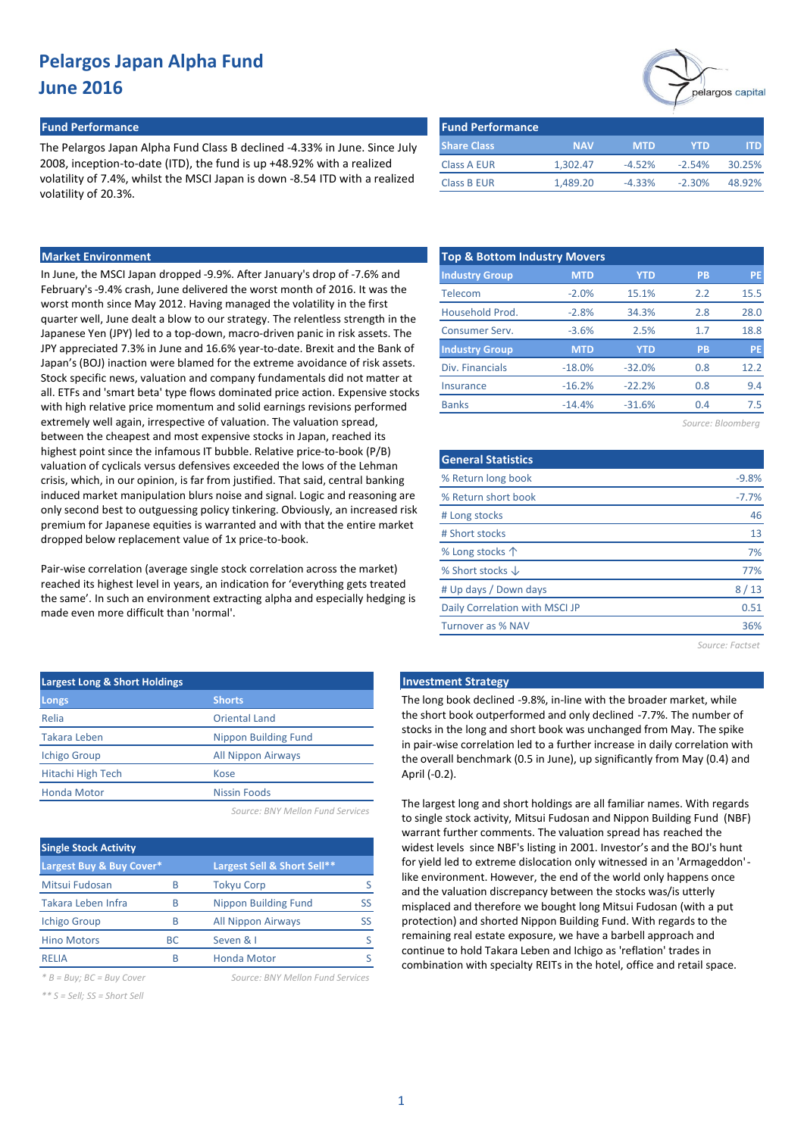#### **Fund Performance Fund Performance**

The Pelargos Japan Alpha Fund Class B declined -4.33% in June. Since July 2008, inception-to-date (ITD), the fund is up +48.92% with a realized volatility of 7.4%, whilst the MSCI Japan is down -8.54 ITD with a realized volatility of 20.3%.

| <b>Fund Performance</b> |            |            |            |        |
|-------------------------|------------|------------|------------|--------|
| <b>Share Class</b>      | <b>NAV</b> | <b>MTD</b> | <b>YTD</b> | ITD.   |
| <b>Class A EUR</b>      | 1.302.47   | $-4.52%$   | $-2.54%$   | 30.25% |
| <b>Class B EUR</b>      | 1,489.20   | $-4.33\%$  | $-2.30%$   | 48.92% |

### **Market Environment**

In June, the MSCI Japan dropped -9.9%. After January's drop of -7.6% and February's -9.4% crash, June delivered the worst month of 2016. It was the worst month since May 2012. Having managed the volatility in the first quarter well, June dealt a blow to our strategy. The relentless strength in the Japanese Yen (JPY) led to a top-down, macro-driven panic in risk assets. The JPY appreciated 7.3% in June and 16.6% year-to-date. Brexit and the Bank of Japan's (BOJ) inaction were blamed for the extreme avoidance of risk assets. Stock specific news, valuation and company fundamentals did not matter at all. ETFs and 'smart beta' type flows dominated price action. Expensive stocks with high relative price momentum and solid earnings revisions performed extremely well again, irrespective of valuation. The valuation spread, between the cheapest and most expensive stocks in Japan, reached its highest point since the infamous IT bubble. Relative price-to-book (P/B) valuation of cyclicals versus defensives exceeded the lows of the Lehman crisis, which, in our opinion, is far from justified. That said, central banking induced market manipulation blurs noise and signal. Logic and reasoning are only second best to outguessing policy tinkering. Obviously, an increased risk premium for Japanese equities is warranted and with that the entire market dropped below replacement value of 1x price-to-book.

Pair-wise correlation (average single stock correlation across the market) reached its highest level in years, an indication for 'everything gets treated the same'. In such an environment extracting alpha and especially hedging is made even more difficult than 'normal'.

| <b>Largest Long &amp; Short Holdings</b> |                             |  |  |  |  |  |  |  |
|------------------------------------------|-----------------------------|--|--|--|--|--|--|--|
| Longs                                    | <b>Shorts</b>               |  |  |  |  |  |  |  |
| Relia                                    | <b>Oriental Land</b>        |  |  |  |  |  |  |  |
| <b>Takara Leben</b>                      | <b>Nippon Building Fund</b> |  |  |  |  |  |  |  |
| <b>Ichigo Group</b>                      | <b>All Nippon Airways</b>   |  |  |  |  |  |  |  |
| Hitachi High Tech                        | Kose                        |  |  |  |  |  |  |  |
| <b>Honda Motor</b>                       | Nissin Foods                |  |  |  |  |  |  |  |
|                                          |                             |  |  |  |  |  |  |  |

*Source: BNY Mellon Fund Services*

| <b>Single Stock Activity</b> |     |                             |    |  |  |  |  |  |  |  |  |
|------------------------------|-----|-----------------------------|----|--|--|--|--|--|--|--|--|
| Largest Buy & Buy Cover*     |     | Largest Sell & Short Sell** |    |  |  |  |  |  |  |  |  |
| Mitsui Fudosan               | B   | <b>Tokyu Corp</b>           |    |  |  |  |  |  |  |  |  |
| Takara Leben Infra           | B   | <b>Nippon Building Fund</b> | SS |  |  |  |  |  |  |  |  |
| <b>Ichigo Group</b>          | B   | <b>All Nippon Airways</b>   | SS |  |  |  |  |  |  |  |  |
| <b>Hino Motors</b>           | BC. | Seven & I                   |    |  |  |  |  |  |  |  |  |
| <b>REIJA</b>                 | R   | <b>Honda Motor</b>          |    |  |  |  |  |  |  |  |  |

*\*\* S = Sell; SS = Short Sell*

*\* B = Buy; BC = Buy Cover Source: BNY Mellon Fund Services*



| <b>Top &amp; Bottom Industry Movers</b> |            |            |           |           |  |  |  |  |  |  |  |
|-----------------------------------------|------------|------------|-----------|-----------|--|--|--|--|--|--|--|
| <b>Industry Group</b>                   | <b>MTD</b> | <b>YTD</b> | <b>PB</b> | <b>PE</b> |  |  |  |  |  |  |  |
| Telecom                                 | $-2.0%$    | 15.1%      | 2.2       | 15.5      |  |  |  |  |  |  |  |
| Household Prod.                         | $-2.8%$    | 34.3%      | 2.8       | 28.0      |  |  |  |  |  |  |  |
| Consumer Serv.                          | $-3.6%$    | 2.5%       | 1.7       | 18.8      |  |  |  |  |  |  |  |
| <b>Industry Group</b>                   | <b>MTD</b> | <b>YTD</b> | <b>PB</b> | PE        |  |  |  |  |  |  |  |
| Div. Financials                         | $-18.0%$   | $-32.0%$   | 0.8       | 12.2      |  |  |  |  |  |  |  |
| Insurance                               | $-16.2%$   | $-22.2%$   | 0.8       | 9.4       |  |  |  |  |  |  |  |
| <b>Banks</b>                            | $-14.4%$   | $-31.6%$   | 0.4       | 7.5       |  |  |  |  |  |  |  |

*Source: Bloomberg*

| <b>General Statistics</b>      |         |
|--------------------------------|---------|
| % Return long book             | $-9.8%$ |
| % Return short book            | $-7.7%$ |
| # Long stocks                  | 46      |
| # Short stocks                 | 13      |
| % Long stocks $\uparrow$       | 7%      |
| % Short stocks $\downarrow$    | 77%     |
| # Up days / Down days          | 8/13    |
| Daily Correlation with MSCI JP | 0.51    |
| <b>Turnover as % NAV</b>       | 36%     |
|                                |         |

*Source: Factset*

### **Investment Strategy**

The long book declined -9.8%, in-line with the broader market, while the short book outperformed and only declined -7.7%. The number of stocks in the long and short book was unchanged from May. The spike in pair-wise correlation led to a further increase in daily correlation with the overall benchmark (0.5 in June), up significantly from May (0.4) and April (-0.2).

The largest long and short holdings are all familiar names. With regards to single stock activity, Mitsui Fudosan and Nippon Building Fund (NBF) warrant further comments. The valuation spread has reached the widest levels since NBF's listing in 2001. Investor's and the BOJ's hunt for yield led to extreme dislocation only witnessed in an 'Armageddon' like environment. However, the end of the world only happens once and the valuation discrepancy between the stocks was/is utterly misplaced and therefore we bought long Mitsui Fudosan (with a put protection) and shorted Nippon Building Fund. With regards to the remaining real estate exposure, we have a barbell approach and continue to hold Takara Leben and Ichigo as 'reflation' trades in combination with specialty REITs in the hotel, office and retail space.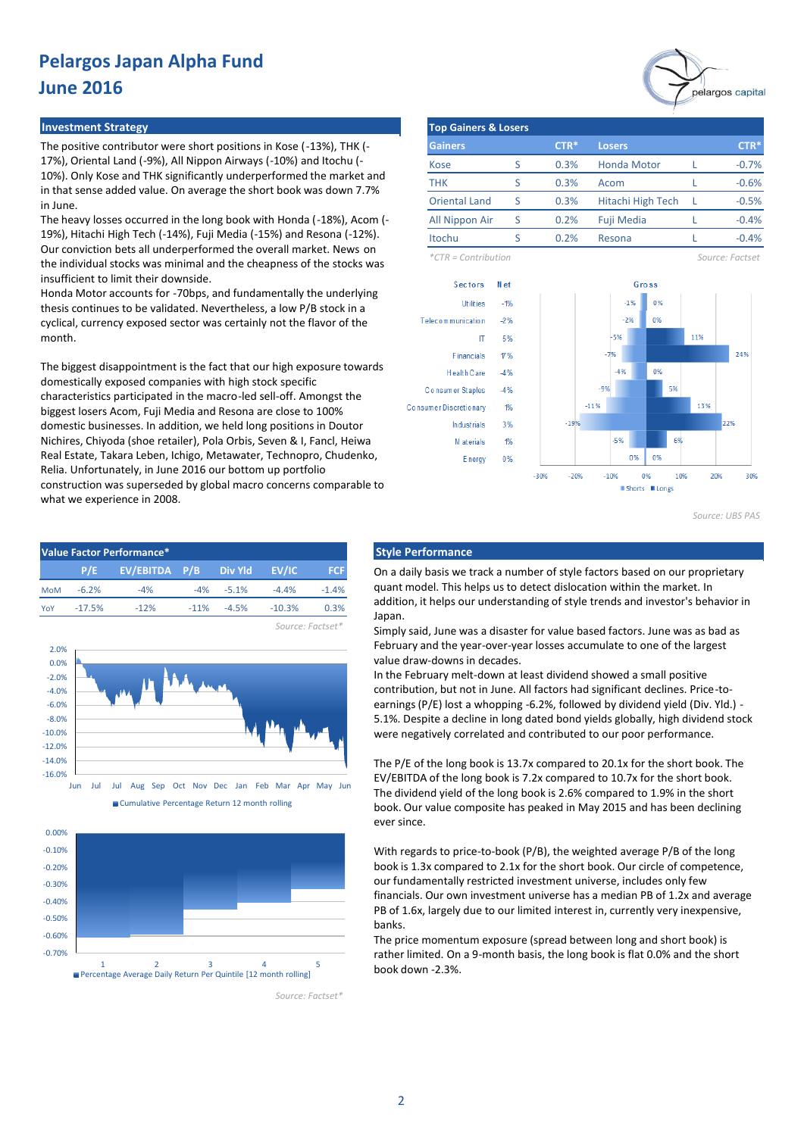#### **Investment Strategy**

The positive contributor were short positions in Kose (-13%), THK (-17%), Oriental Land (-9%), All Nippon Airways (-10%) and Itochu (- 10%). Only Kose and THK significantly underperformed the market and in that sense added value. On average the short book was down 7.7% in June.

The heavy losses occurred in the long book with Honda (-18%), Acom (- 19%), Hitachi High Tech (-14%), Fuji Media (-15%) and Resona (-12%). Our conviction bets all underperformed the overall market. News on the individual stocks was minimal and the cheapness of the stocks was insufficient to limit their downside.

Honda Motor accounts for -70bps, and fundamentally the underlying thesis continues to be validated. Nevertheless, a low P/B stock in a cyclical, currency exposed sector was certainly not the flavor of the month.

The biggest disappointment is the fact that our high exposure towards domestically exposed companies with high stock specific characteristics participated in the macro-led sell-off. Amongst the biggest losers Acom, Fuji Media and Resona are close to 100% domestic businesses. In addition, we held long positions in Doutor Nichires, Chiyoda (shoe retailer), Pola Orbis, Seven & I, Fancl, Heiwa Real Estate, Takara Leben, Ichigo, Metawater, Technopro, Chudenko, Relia. Unfortunately, in June 2016 our bottom up portfolio construction was superseded by global macro concerns comparable to what we experience in 2008.

| Value Factor Performance* |          |                                 |  |                |          |            |  |  |  |  |  |  |
|---------------------------|----------|---------------------------------|--|----------------|----------|------------|--|--|--|--|--|--|
|                           |          | P/E EV/EBITDA P/B Div Yld EV/IC |  |                |          | <b>FCF</b> |  |  |  |  |  |  |
| <b>MoM</b>                | $-6.2%$  | $-4%$                           |  | $-4\% -5.1\%$  | $-4.4%$  | $-1.4%$    |  |  |  |  |  |  |
| YoY                       | $-17.5%$ | $-12%$                          |  | $-11\% -4.5\%$ | $-10.3%$ | 0.3%       |  |  |  |  |  |  |



Cumulative Percentage Return 12 month rolling



*Source: Factset\**

*Source: Factset\**



| <b>Top Gainers &amp; Losers</b> |   |        |                    |  |         |  |  |  |  |  |  |
|---------------------------------|---|--------|--------------------|--|---------|--|--|--|--|--|--|
| <b>Gainers</b>                  |   | $CTR*$ | <b>Losers</b>      |  | $CTR*$  |  |  |  |  |  |  |
| Kose                            | ς | 0.3%   | <b>Honda Motor</b> |  | $-0.7%$ |  |  |  |  |  |  |
| <b>THK</b>                      | S | 0.3%   | Acom               |  | $-0.6%$ |  |  |  |  |  |  |
| <b>Oriental Land</b>            | ς | 0.3%   | Hitachi High Tech  |  | $-0.5%$ |  |  |  |  |  |  |
| All Nippon Air                  | S | 0.2%   | Fuji Media         |  | $-0.4%$ |  |  |  |  |  |  |
| Itochu                          |   | 0.2%   | Resona             |  | $-0.4%$ |  |  |  |  |  |  |

*\*CTR = Contribution Source: Factset*



*Source: UBS PAS*

#### **Style Performance**

On a daily basis we track a number of style factors based on our proprietary quant model. This helps us to detect dislocation within the market. In addition, it helps our understanding of style trends and investor's behavior in Japan.

Simply said, June was a disaster for value based factors. June was as bad as February and the year-over-year losses accumulate to one of the largest value draw-downs in decades.

In the February melt-down at least dividend showed a small positive contribution, but not in June. All factors had significant declines. Price-toearnings (P/E) lost a whopping -6.2%, followed by dividend yield (Div. Yld.) - 5.1%. Despite a decline in long dated bond yields globally, high dividend stock were negatively correlated and contributed to our poor performance.

The P/E of the long book is 13.7x compared to 20.1x for the short book. The EV/EBITDA of the long book is 7.2x compared to 10.7x for the short book. The dividend yield of the long book is 2.6% compared to 1.9% in the short book. Our value composite has peaked in May 2015 and has been declining ever since.

With regards to price-to-book (P/B), the weighted average P/B of the long book is 1.3x compared to 2.1x for the short book. Our circle of competence, our fundamentally restricted investment universe, includes only few financials. Our own investment universe has a median PB of 1.2x and average PB of 1.6x, largely due to our limited interest in, currently very inexpensive, banks.

The price momentum exposure (spread between long and short book) is rather limited. On a 9-month basis, the long book is flat 0.0% and the short book down -2.3%.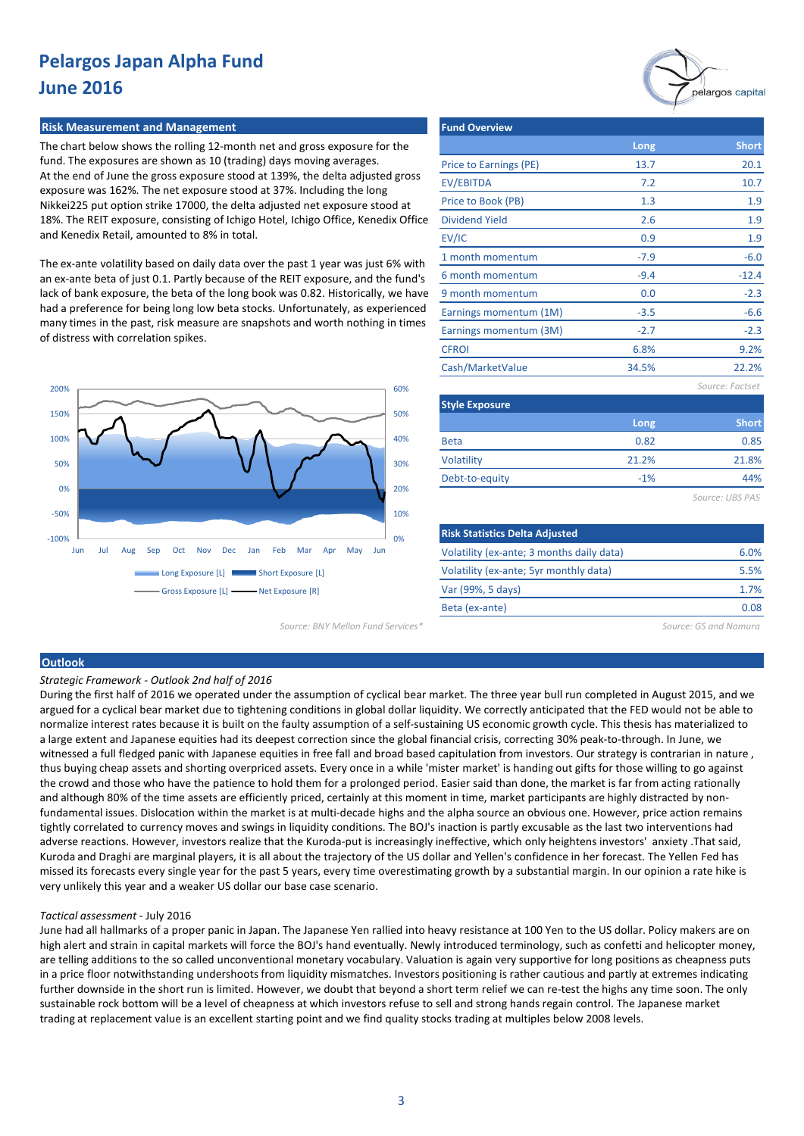#### **Risk Measurement and Management**

The chart below shows the rolling 12-month net and gross exposure for the fund. The exposures are shown as 10 (trading) days moving averages. At the end of June the gross exposure stood at 139%, the delta adjusted gross exposure was 162%. The net exposure stood at 37%. Including the long Nikkei225 put option strike 17000, the delta adjusted net exposure stood at 18%. The REIT exposure, consisting of Ichigo Hotel, Ichigo Office, Kenedix Office and Kenedix Retail, amounted to 8% in total.

The ex-ante volatility based on daily data over the past 1 year was just 6% with an ex-ante beta of just 0.1. Partly because of the REIT exposure, and the fund's lack of bank exposure, the beta of the long book was 0.82. Historically, we have had a preference for being long low beta stocks. Unfortunately, as experienced many times in the past, risk measure are snapshots and worth nothing in times of distress with correlation spikes.



| <b>Fund Overview</b>   |        |                 |
|------------------------|--------|-----------------|
|                        | Long   | <b>Short</b>    |
| Price to Earnings (PE) | 13.7   | 20.1            |
| EV/EBITDA              | 7.2    | 10.7            |
| Price to Book (PB)     | 1.3    | 1.9             |
| <b>Dividend Yield</b>  | 2.6    | 1.9             |
| EV/IC                  | 0.9    | 1.9             |
| 1 month momentum       | $-7.9$ | $-6.0$          |
| 6 month momentum       | $-9.4$ | $-12.4$         |
| 9 month momentum       | 0.0    | $-2.3$          |
| Earnings momentum (1M) | $-3.5$ | $-6.6$          |
| Earnings momentum (3M) | $-2.7$ | $-2.3$          |
| <b>CFROI</b>           | 6.8%   | 9.2%            |
| Cash/MarketValue       | 34.5%  | 22.2%           |
|                        |        | Source: Factset |
| <b>Style Exposure</b>  |        |                 |
|                        | Long   | <b>Short</b>    |
| <b>Beta</b>            | 0.82   | 0.85            |

44% -1%

21.2%

*Source: UBS PAS*

pelargos capital

21.8%

| <b>Risk Statistics Delta Adjusted</b>     |      |
|-------------------------------------------|------|
| Volatility (ex-ante; 3 months daily data) | 6.0% |
| Volatility (ex-ante; 5yr monthly data)    | 5.5% |
| Var (99%, 5 days)                         | 1.7% |
| Beta (ex-ante)                            | በ በጸ |
|                                           |      |

*Source: BNY Mellon Fund Services\* Source: GS and Nomura*

### **Outlook**

#### *Strategic Framework - Outlook 2nd half of 2016*

During the first half of 2016 we operated under the assumption of cyclical bear market. The three year bull run completed in August 2015, and we argued for a cyclical bear market due to tightening conditions in global dollar liquidity. We correctly anticipated that the FED would not be able to normalize interest rates because it is built on the faulty assumption of a self-sustaining US economic growth cycle. This thesis has materialized to a large extent and Japanese equities had its deepest correction since the global financial crisis, correcting 30% peak-to-through. In June, we witnessed a full fledged panic with Japanese equities in free fall and broad based capitulation from investors. Our strategy is contrarian in nature, thus buying cheap assets and shorting overpriced assets. Every once in a while 'mister market' is handing out gifts for those willing to go against the crowd and those who have the patience to hold them for a prolonged period. Easier said than done, the market is far from acting rationally and although 80% of the time assets are efficiently priced, certainly at this moment in time, market participants are highly distracted by nonfundamental issues. Dislocation within the market is at multi-decade highs and the alpha source an obvious one. However, price action remains tightly correlated to currency moves and swings in liquidity conditions. The BOJ's inaction is partly excusable as the last two interventions had adverse reactions. However, investors realize that the Kuroda-put is increasingly ineffective, which only heightens investors' anxiety .That said, Kuroda and Draghi are marginal players, it is all about the trajectory of the US dollar and Yellen's confidence in her forecast. The Yellen Fed has missed its forecasts every single year for the past 5 years, every time overestimating growth by a substantial margin. In our opinion a rate hike is very unlikely this year and a weaker US dollar our base case scenario.

Volatility Debt-to-equity

#### *Tactical assessment* - July 2016

June had all hallmarks of a proper panic in Japan. The Japanese Yen rallied into heavy resistance at 100 Yen to the US dollar. Policy makers are on high alert and strain in capital markets will force the BOJ's hand eventually. Newly introduced terminology, such as confetti and helicopter money, are telling additions to the so called unconventional monetary vocabulary. Valuation is again very supportive for long positions as cheapness puts in a price floor notwithstanding undershoots from liquidity mismatches. Investors positioning is rather cautious and partly at extremes indicating further downside in the short run is limited. However, we doubt that beyond a short term relief we can re-test the highs any time soon. The only sustainable rock bottom will be a level of cheapness at which investors refuse to sell and strong hands regain control. The Japanese market trading at replacement value is an excellent starting point and we find quality stocks trading at multiples below 2008 levels.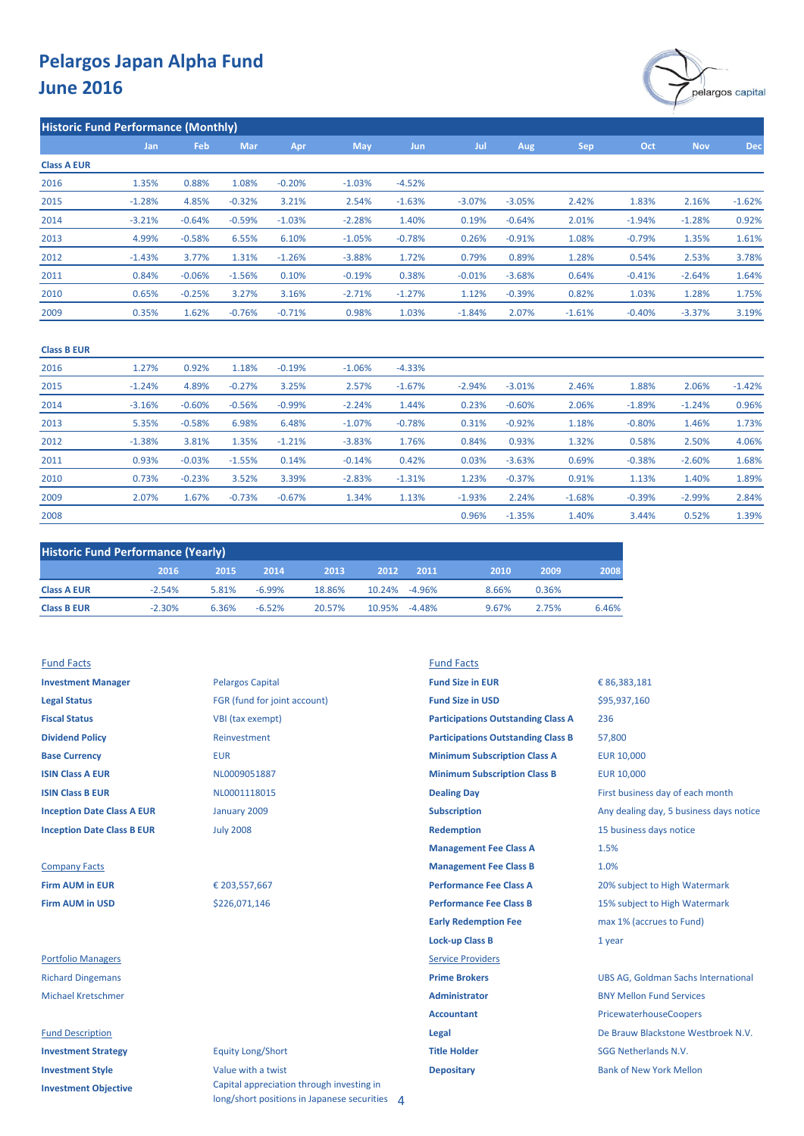

**Historic Fund Performance (Monthly)**

|                    | Jan      | Feb      | Mar      | Apr      | <b>May</b> | Jun      | Jul      | Aug      | Sep      | Oct      | <b>Nov</b> | <b>Dec</b> |
|--------------------|----------|----------|----------|----------|------------|----------|----------|----------|----------|----------|------------|------------|
| <b>Class A EUR</b> |          |          |          |          |            |          |          |          |          |          |            |            |
| 2016               | 1.35%    | 0.88%    | 1.08%    | $-0.20%$ | $-1.03%$   | $-4.52%$ |          |          |          |          |            |            |
| 2015               | $-1.28%$ | 4.85%    | $-0.32%$ | 3.21%    | 2.54%      | $-1.63%$ | $-3.07%$ | $-3.05%$ | 2.42%    | 1.83%    | 2.16%      | $-1.62%$   |
| 2014               | $-3.21%$ | $-0.64%$ | $-0.59%$ | $-1.03%$ | $-2.28%$   | 1.40%    | 0.19%    | $-0.64%$ | 2.01%    | $-1.94%$ | $-1.28%$   | 0.92%      |
| 2013               | 4.99%    | $-0.58%$ | 6.55%    | 6.10%    | $-1.05%$   | $-0.78%$ | 0.26%    | $-0.91%$ | 1.08%    | $-0.79%$ | 1.35%      | 1.61%      |
| 2012               | $-1.43%$ | 3.77%    | 1.31%    | $-1.26%$ | $-3.88%$   | 1.72%    | 0.79%    | 0.89%    | 1.28%    | 0.54%    | 2.53%      | 3.78%      |
| 2011               | 0.84%    | $-0.06%$ | $-1.56%$ | 0.10%    | $-0.19%$   | 0.38%    | $-0.01%$ | $-3.68%$ | 0.64%    | $-0.41%$ | $-2.64%$   | 1.64%      |
| 2010               | 0.65%    | $-0.25%$ | 3.27%    | 3.16%    | $-2.71%$   | $-1.27%$ | 1.12%    | $-0.39%$ | 0.82%    | 1.03%    | 1.28%      | 1.75%      |
| 2009               | 0.35%    | 1.62%    | $-0.76%$ | $-0.71%$ | 0.98%      | 1.03%    | $-1.84%$ | 2.07%    | $-1.61%$ | $-0.40%$ | $-3.37%$   | 3.19%      |

| <b>Class B EUR</b> |          |          |          |          |          |          |          |          |          |          |          |          |
|--------------------|----------|----------|----------|----------|----------|----------|----------|----------|----------|----------|----------|----------|
| 2016               | 1.27%    | 0.92%    | 1.18%    | $-0.19%$ | $-1.06%$ | $-4.33%$ |          |          |          |          |          |          |
| 2015               | $-1.24%$ | 4.89%    | $-0.27%$ | 3.25%    | 2.57%    | $-1.67%$ | $-2.94%$ | $-3.01%$ | 2.46%    | 1.88%    | 2.06%    | $-1.42%$ |
| 2014               | $-3.16%$ | $-0.60%$ | $-0.56%$ | $-0.99%$ | $-2.24%$ | 1.44%    | 0.23%    | $-0.60%$ | 2.06%    | $-1.89%$ | $-1.24%$ | 0.96%    |
| 2013               | 5.35%    | $-0.58%$ | 6.98%    | 6.48%    | $-1.07%$ | $-0.78%$ | 0.31%    | $-0.92%$ | 1.18%    | $-0.80%$ | 1.46%    | 1.73%    |
| 2012               | $-1.38%$ | 3.81%    | 1.35%    | $-1.21%$ | $-3.83%$ | 1.76%    | 0.84%    | 0.93%    | 1.32%    | 0.58%    | 2.50%    | 4.06%    |
| 2011               | 0.93%    | $-0.03%$ | $-1.55%$ | 0.14%    | $-0.14%$ | 0.42%    | 0.03%    | $-3.63%$ | 0.69%    | $-0.38%$ | $-2.60%$ | 1.68%    |
| 2010               | 0.73%    | $-0.23%$ | 3.52%    | 3.39%    | $-2.83%$ | $-1.31%$ | 1.23%    | $-0.37%$ | 0.91%    | 1.13%    | 1.40%    | 1.89%    |
| 2009               | 2.07%    | 1.67%    | $-0.73%$ | $-0.67%$ | 1.34%    | 1.13%    | $-1.93%$ | 2.24%    | $-1.68%$ | $-0.39%$ | $-2.99%$ | 2.84%    |
| 2008               |          |          |          |          |          |          | 0.96%    | $-1.35%$ | 1.40%    | 3.44%    | 0.52%    | 1.39%    |

| <b>Historic Fund Performance (Yearly)</b> |          |       |           |        |               |          |       |       |       |  |  |  |
|-------------------------------------------|----------|-------|-----------|--------|---------------|----------|-------|-------|-------|--|--|--|
|                                           | 2016     | 2015  | 2014      | 2013   | 2012          | 2011     | 2010  | 2009  | 2008  |  |  |  |
| <b>Class A EUR</b>                        | $-2.54%$ | 5.81% | $-6.99\%$ | 18.86% | 10.24% -4.96% |          | 8.66% | 0.36% |       |  |  |  |
| <b>Class B EUR</b>                        | $-2.30%$ | 6.36% | $-6.52%$  | 20.57% | 10.95%        | $-4.48%$ | 9.67% | 2.75% | 6.46% |  |  |  |

| <b>Investment Manager</b>         | <b>Pelargos Capital</b>      |  |
|-----------------------------------|------------------------------|--|
| <b>Legal Status</b>               | FGR (fund for joint account) |  |
| <b>Fiscal Status</b>              | VBI (tax exempt)             |  |
| <b>Dividend Policy</b>            | Reinvestment                 |  |
| <b>Base Currency</b>              | <b>EUR</b>                   |  |
| <b>ISIN Class A EUR</b>           | NL0009051887                 |  |
| <b>ISIN Class B EUR</b>           | NL0001118015                 |  |
| <b>Inception Date Class A EUR</b> | January 2009                 |  |
| <b>Inception Date Class B EUR</b> | <b>July 2008</b>             |  |
|                                   |                              |  |

### **Company Facts Firm AUM in EUR Firm AUM in USD**

#### **Fund Description**

| <b>Investment Strategy</b>  |
|-----------------------------|
| <b>Investment Style</b>     |
| <b>Investment Objective</b> |

## Fund Facts Fund Facts

| <b>Investment Manager</b>         | <b>Pelargos Capital</b>      | <b>Fund Size in EUR</b>                   | € 86,383,181                               |
|-----------------------------------|------------------------------|-------------------------------------------|--------------------------------------------|
| <b>Legal Status</b>               | FGR (fund for joint account) | <b>Fund Size in USD</b>                   | \$95,937,160                               |
| <b>Fiscal Status</b>              | VBI (tax exempt)             | <b>Participations Outstanding Class A</b> | 236                                        |
| <b>Dividend Policy</b>            | Reinvestment                 | <b>Participations Outstanding Class B</b> | 57,800                                     |
| <b>Base Currency</b>              | <b>EUR</b>                   | <b>Minimum Subscription Class A</b>       | <b>EUR 10,000</b>                          |
| <b>ISIN Class A EUR</b>           | NL0009051887                 | <b>Minimum Subscription Class B</b>       | <b>EUR 10,000</b>                          |
| <b>ISIN Class B EUR</b>           | NL0001118015                 | <b>Dealing Day</b>                        | First business day of each month           |
| <b>Inception Date Class A EUR</b> | January 2009                 | <b>Subscription</b>                       | Any dealing day, 5 business days notice    |
| <b>Inception Date Class B EUR</b> | <b>July 2008</b>             | <b>Redemption</b>                         | 15 business days notice                    |
|                                   |                              | <b>Management Fee Class A</b>             | 1.5%                                       |
| <b>Company Facts</b>              |                              | <b>Management Fee Class B</b>             | 1.0%                                       |
| <b>Firm AUM in EUR</b>            | € 203,557,667                | <b>Performance Fee Class A</b>            | 20% subject to High Watermark              |
| <b>Firm AUM in USD</b>            | \$226,071,146                | <b>Performance Fee Class B</b>            | 15% subject to High Watermark              |
|                                   |                              | <b>Early Redemption Fee</b>               | max 1% (accrues to Fund)                   |
|                                   |                              | <b>Lock-up Class B</b>                    | 1 year                                     |
| <b>Portfolio Managers</b>         |                              | <b>Service Providers</b>                  |                                            |
| <b>Richard Dingemans</b>          |                              | <b>Prime Brokers</b>                      | <b>UBS AG, Goldman Sachs International</b> |
| <b>Michael Kretschmer</b>         |                              | <b>Administrator</b>                      | <b>BNY Mellon Fund Services</b>            |
|                                   |                              | <b>Accountant</b>                         | PricewaterhouseCoopers                     |
| <b>Fund Description</b>           |                              | Legal                                     | De Brauw Blackstone Westbroek N.V.         |
| <b>Investment Strategy</b>        | <b>Equity Long/Short</b>     | <b>Title Holder</b>                       | <b>SGG Netherlands N.V.</b>                |
|                                   |                              |                                           |                                            |

**Investment Style Value with a twist <b>Depositary Depositary** Bank of New York Mellon Capital appreciation through investing in long/short positions in Japanese securities 4